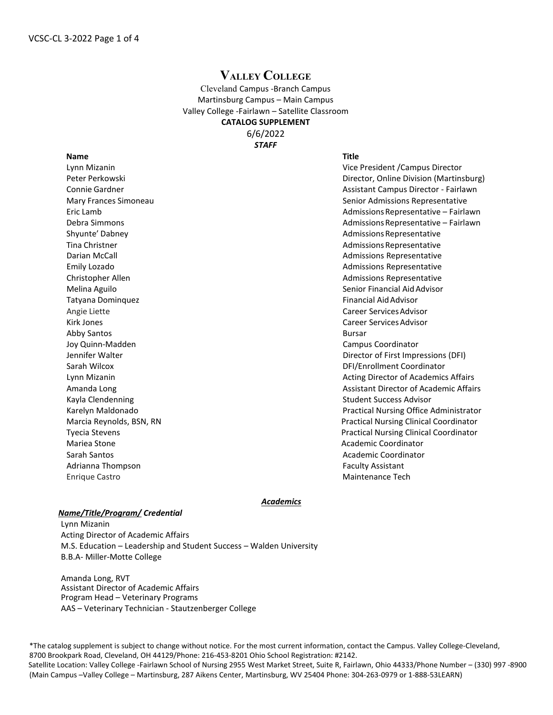## **VALLEY COLLEGE**

Cleveland Campus -Branch Campus Martinsburg Campus – Main Campus Valley College -Fairlawn – Satellite Classroom **CATALOG SUPPLEMENT** 6/6/2022

*STAFF*

| <b>Name</b>              | <b>Title</b>  |
|--------------------------|---------------|
| Lynn Mizanin             | Vice Pr       |
| Peter Perkowski          | Directo       |
| Connie Gardner           | Assista       |
| Mary Frances Simoneau    | Senior        |
| Eric Lamb                | Admis:        |
| Debra Simmons            | Admis:        |
| Shyunte' Dabney          | Admis:        |
| Tina Christner           | Admis:        |
| Darian McCall            | Admis:        |
| Emily Lozado             | Admis:        |
| Christopher Allen        | Admis:        |
| Melina Aguilo            | Senior        |
| Tatyana Dominquez        | Financ        |
| Angie Liette             | Career        |
| <b>Kirk Jones</b>        | Career        |
| <b>Abby Santos</b>       | <b>Bursar</b> |
| Joy Quinn-Madden         | Campu         |
| Jennifer Walter          | Directo       |
| Sarah Wilcox             | DFI/En        |
| Lynn Mizanin             | Acting        |
| Amanda Long              | Assista       |
| Kayla Clendenning        | Studer        |
| Karelyn Maldonado        | Practic       |
| Marcia Reynolds, BSN, RN | Practic       |
| <b>Tyecia Stevens</b>    | Practic       |
| Mariea Stone             | Acader        |
| Sarah Santos             | Acader        |
| Adrianna Thompson        | Faculty       |
| <b>Enrique Castro</b>    | Mainte        |

Vice President /Campus Director Director, Online Division (Martinsburg) Assistant Campus Director - Fairlawn Senior Admissions Representative Admissions Representative – Fairlawn Admissions Representative – Fairlawn Admissions Representative Admissions Representative Admissions Representative Admissions Representative Admissions Representative Senior Financial Aid Advisor Financial Aid Advisor Career Services Advisor Career Services Advisor Campus Coordinator Director of First Impressions (DFI) DFI/Enrollment Coordinator Acting Director of Academics Affairs Assistant Director of Academic Affairs Student Success Advisor Practical Nursing Office Administrator Practical Nursing Clinical Coordinator Practical Nursing Clinical Coordinator Academic Coordinator Academic Coordinator Faculty Assistant **Maintenance Tech** 

## *Academics*

## *Name/Title/Program/ Credential*

Lynn Mizanin Acting Director of Academic Affairs M.S. Education – Leadership and Student Success – Walden University B.B.A- Miller-Motte College

Amanda Long, RVT Assistant Director of Academic Affairs Program Head – Veterinary Programs AAS – Veterinary Technician - Stautzenberger College

\*The catalog supplement is subject to change without notice. For the most current information, contact the Campus. Valley College-Cleveland, 8700 Brookpark Road, Cleveland, OH 44129/Phone: 216-453-8201 Ohio School Registration: #2142. Satellite Location: Valley College -Fairlawn School of Nursing 2955 West Market Street, Suite R, Fairlawn, Ohio 44333/Phone Number – (330) 997 -8900 (Main Campus –Valley College – Martinsburg, 287 Aikens Center, Martinsburg, WV 25404 Phone: 304-263-0979 or 1-888-53LEARN)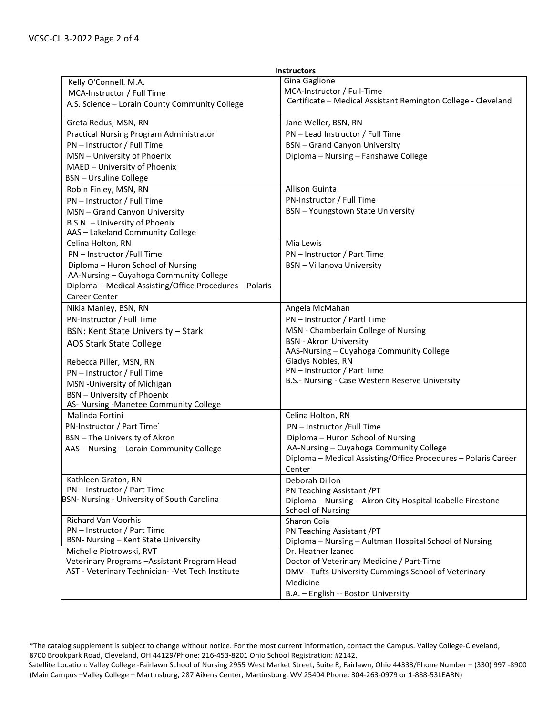| <b>Instructors</b>                                        |                                                                              |  |
|-----------------------------------------------------------|------------------------------------------------------------------------------|--|
| Kelly O'Connell. M.A.                                     | Gina Gaglione                                                                |  |
| MCA-Instructor / Full Time                                | MCA-Instructor / Full-Time                                                   |  |
| A.S. Science - Lorain County Community College            | Certificate - Medical Assistant Remington College - Cleveland                |  |
| Greta Redus, MSN, RN                                      | Jane Weller, BSN, RN                                                         |  |
| Practical Nursing Program Administrator                   | PN - Lead Instructor / Full Time                                             |  |
| PN - Instructor / Full Time                               | <b>BSN</b> - Grand Canyon University                                         |  |
| MSN - University of Phoenix                               | Diploma - Nursing - Fanshawe College                                         |  |
| MAED - University of Phoenix                              |                                                                              |  |
| <b>BSN</b> - Ursuline College                             |                                                                              |  |
| Robin Finley, MSN, RN                                     | Allison Guinta                                                               |  |
| PN - Instructor / Full Time                               | PN-Instructor / Full Time                                                    |  |
| MSN - Grand Canyon University                             | <b>BSN</b> - Youngstown State University                                     |  |
| B.S.N. - University of Phoenix                            |                                                                              |  |
| AAS - Lakeland Community College                          |                                                                              |  |
| Celina Holton, RN                                         | Mia Lewis                                                                    |  |
| PN - Instructor /Full Time                                | PN - Instructor / Part Time                                                  |  |
| Diploma - Huron School of Nursing                         | <b>BSN</b> - Villanova University                                            |  |
| AA-Nursing - Cuyahoga Community College                   |                                                                              |  |
| Diploma - Medical Assisting/Office Procedures - Polaris   |                                                                              |  |
| Career Center                                             |                                                                              |  |
| Nikia Manley, BSN, RN                                     | Angela McMahan                                                               |  |
| PN-Instructor / Full Time                                 | PN - Instructor / Partl Time                                                 |  |
| <b>BSN: Kent State University - Stark</b>                 | MSN - Chamberlain College of Nursing                                         |  |
| <b>AOS Stark State College</b>                            | <b>BSN</b> - Akron University                                                |  |
|                                                           | AAS-Nursing - Cuyahoga Community College                                     |  |
| Rebecca Piller, MSN, RN                                   | Gladys Nobles, RN                                                            |  |
| PN - Instructor / Full Time                               | PN - Instructor / Part Time                                                  |  |
| MSN - University of Michigan                              | B.S.- Nursing - Case Western Reserve University                              |  |
| <b>BSN</b> - University of Phoenix                        |                                                                              |  |
| AS- Nursing -Manetee Community College                    |                                                                              |  |
| Malinda Fortini                                           | Celina Holton, RN                                                            |  |
| PN-Instructor / Part Time`                                | PN - Instructor /Full Time                                                   |  |
| <b>BSN</b> - The University of Akron                      | Diploma - Huron School of Nursing                                            |  |
| AAS - Nursing - Lorain Community College                  | AA-Nursing - Cuyahoga Community College                                      |  |
|                                                           | Diploma - Medical Assisting/Office Procedures - Polaris Career               |  |
|                                                           | Center                                                                       |  |
| Kathleen Graton, RN                                       | Deborah Dillon                                                               |  |
| PN - Instructor / Part Time                               | PN Teaching Assistant / PT                                                   |  |
| BSN- Nursing - University of South Carolina               | Diploma - Nursing - Akron City Hospital Idabelle Firestone                   |  |
|                                                           | <b>School of Nursing</b>                                                     |  |
| <b>Richard Van Voorhis</b><br>PN - Instructor / Part Time | Sharon Coia                                                                  |  |
| BSN- Nursing - Kent State University                      | PN Teaching Assistant / PT                                                   |  |
| Michelle Piotrowski, RVT                                  | Diploma - Nursing - Aultman Hospital School of Nursing<br>Dr. Heather Izanec |  |
| Veterinary Programs - Assistant Program Head              | Doctor of Veterinary Medicine / Part-Time                                    |  |
| AST - Veterinary Technician- - Vet Tech Institute         | DMV - Tufts University Cummings School of Veterinary                         |  |
|                                                           | Medicine                                                                     |  |
|                                                           | B.A. - English -- Boston University                                          |  |
|                                                           |                                                                              |  |

<sup>\*</sup>The catalog supplement is subject to change without notice. For the most current information, contact the Campus. Valley College-Cleveland, 8700 Brookpark Road, Cleveland, OH 44129/Phone: 216-453-8201 Ohio School Registration: #2142. Satellite Location: Valley College -Fairlawn School of Nursing 2955 West Market Street, Suite R, Fairlawn, Ohio 44333/Phone Number – (330) 997 -8900 (Main Campus –Valley College – Martinsburg, 287 Aikens Center, Martinsburg, WV 25404 Phone: 304-263-0979 or 1-888-53LEARN)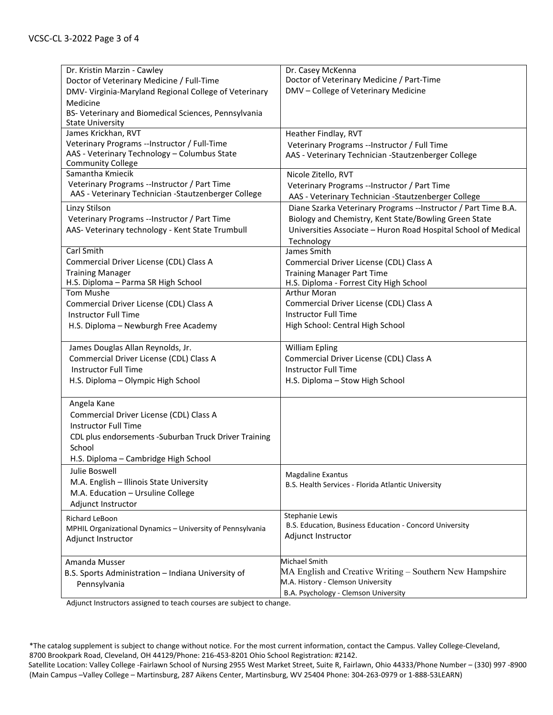| Dr. Kristin Marzin - Cawley                                | Dr. Casey McKenna                                               |
|------------------------------------------------------------|-----------------------------------------------------------------|
| Doctor of Veterinary Medicine / Full-Time                  | Doctor of Veterinary Medicine / Part-Time                       |
| DMV- Virginia-Maryland Regional College of Veterinary      | DMV - College of Veterinary Medicine                            |
| Medicine                                                   |                                                                 |
| BS- Veterinary and Biomedical Sciences, Pennsylvania       |                                                                 |
| <b>State University</b>                                    |                                                                 |
| James Krickhan, RVT                                        | Heather Findlay, RVT                                            |
| Veterinary Programs --Instructor / Full-Time               | Veterinary Programs --Instructor / Full Time                    |
| AAS - Veterinary Technology - Columbus State               | AAS - Veterinary Technician - Stautzenberger College            |
| <b>Community College</b>                                   |                                                                 |
| Samantha Kmiecik                                           | Nicole Zitello, RVT                                             |
| Veterinary Programs -- Instructor / Part Time              | Veterinary Programs --Instructor / Part Time                    |
| AAS - Veterinary Technician - Stautzenberger College       | AAS - Veterinary Technician -Stautzenberger College             |
| Linzy Stilson                                              | Diane Szarka Veterinary Programs -- Instructor / Part Time B.A. |
| Veterinary Programs --Instructor / Part Time               | Biology and Chemistry, Kent State/Bowling Green State           |
| AAS- Veterinary technology - Kent State Trumbull           | Universities Associate - Huron Road Hospital School of Medical  |
|                                                            | Technology                                                      |
| Carl Smith                                                 | James Smith                                                     |
| Commercial Driver License (CDL) Class A                    | Commercial Driver License (CDL) Class A                         |
| <b>Training Manager</b>                                    | <b>Training Manager Part Time</b>                               |
| H.S. Diploma - Parma SR High School                        | H.S. Diploma - Forrest City High School                         |
| Tom Mushe                                                  | <b>Arthur Moran</b>                                             |
| Commercial Driver License (CDL) Class A                    | Commercial Driver License (CDL) Class A                         |
| <b>Instructor Full Time</b>                                | <b>Instructor Full Time</b>                                     |
| H.S. Diploma - Newburgh Free Academy                       | High School: Central High School                                |
|                                                            |                                                                 |
| James Douglas Allan Reynolds, Jr.                          | <b>William Epling</b>                                           |
| Commercial Driver License (CDL) Class A                    | Commercial Driver License (CDL) Class A                         |
| <b>Instructor Full Time</b>                                | <b>Instructor Full Time</b>                                     |
| H.S. Diploma - Olympic High School                         | H.S. Diploma - Stow High School                                 |
|                                                            |                                                                 |
| Angela Kane                                                |                                                                 |
| Commercial Driver License (CDL) Class A                    |                                                                 |
| Instructor Full Time                                       |                                                                 |
| CDL plus endorsements - Suburban Truck Driver Training     |                                                                 |
| School                                                     |                                                                 |
| H.S. Diploma - Cambridge High School                       |                                                                 |
| Julie Boswell                                              | Magdaline Exantus                                               |
| M.A. English - Illinois State University                   | B.S. Health Services - Florida Atlantic University              |
| M.A. Education - Ursuline College                          |                                                                 |
| Adjunct Instructor                                         |                                                                 |
| Richard LeBoon                                             | Stephanie Lewis                                                 |
| MPHIL Organizational Dynamics - University of Pennsylvania | B.S. Education, Business Education - Concord University         |
| Adjunct Instructor                                         | Adjunct Instructor                                              |
|                                                            |                                                                 |
| Amanda Musser                                              | Michael Smith                                                   |
| B.S. Sports Administration - Indiana University of         | MA English and Creative Writing – Southern New Hampshire        |
| Pennsylvania                                               | M.A. History - Clemson University                               |
|                                                            | B.A. Psychology - Clemson University                            |

Adjunct Instructors assigned to teach courses are subject to change.

<sup>\*</sup>The catalog supplement is subject to change without notice. For the most current information, contact the Campus. Valley College-Cleveland, 8700 Brookpark Road, Cleveland, OH 44129/Phone: 216-453-8201 Ohio School Registration: #2142. Satellite Location: Valley College -Fairlawn School of Nursing 2955 West Market Street, Suite R, Fairlawn, Ohio 44333/Phone Number – (330) 997 -8900 (Main Campus –Valley College – Martinsburg, 287 Aikens Center, Martinsburg, WV 25404 Phone: 304-263-0979 or 1-888-53LEARN)